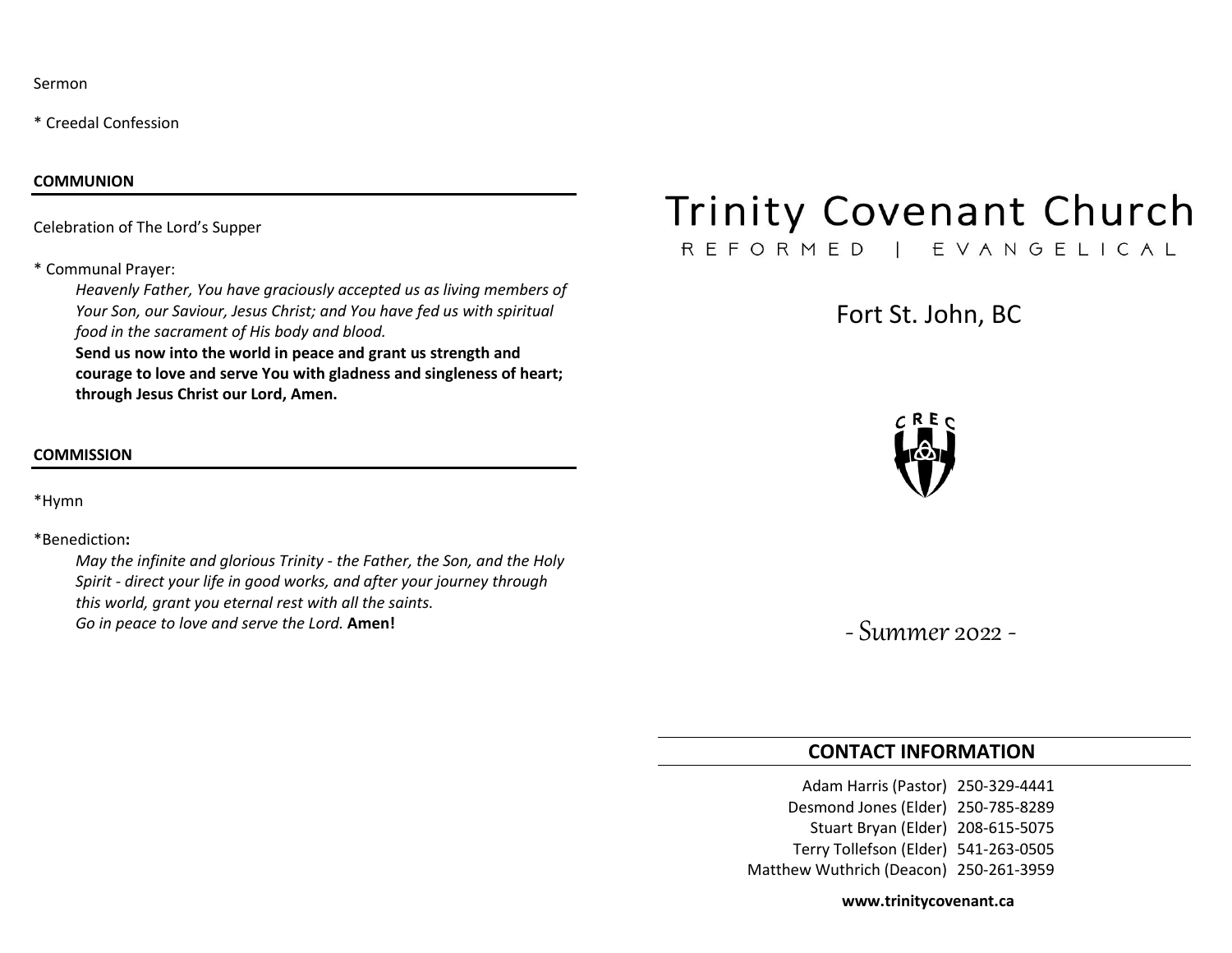Sermon

\* Creedal Confession

#### **COMMUNION**

Celebration of The Lord's Supper

#### \* Communal Prayer:

*Heavenly Father, You have graciously accepted us as living members of Your Son, our Saviour, Jesus Christ; and You have fed us with spiritual food in the sacrament of His body and blood.*

**Send us now into the world in peace and grant us strength and courage to love and serve You with gladness and singleness of heart; through Jesus Christ our Lord, Amen.**

## **COMMISSION**

\*Hymn

#### \*Benediction**:**

*May the infinite and glorious Trinity - the Father, the Son, and the Holy Spirit - direct your life in good works, and after your journey through this world, grant you eternal rest with all the saints. Go in peace to love and serve the Lord.* **Amen!**

# **Trinity Covenant Church**

# REFORMED | EVANGELICAL

Fort St. John, BC



-Summer 2022 -

# **CONTACT INFORMATION**

Adam Harris (Pastor) 250-329-4441 Desmond Jones (Elder) 250-785-8289 Stuart Bryan (Elder) 208-615-5075 Terry Tollefson (Elder) 541-263-0505 Matthew Wuthrich (Deacon) 250-261-3959

**www.trinitycovenant.ca**